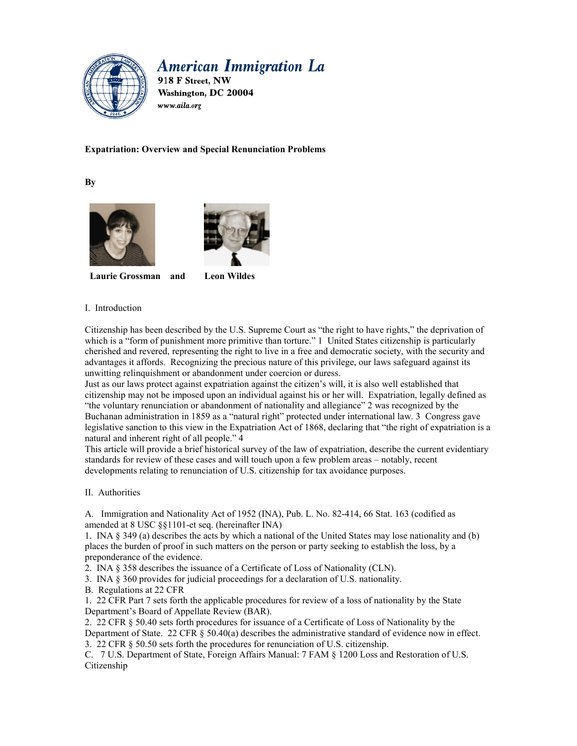

# **American Immigration La**

918 F Street, NW Washington, DC 20004 www.aila.org

# **Expatriation: Overview and Special Renunciation Problems**

**By** 





**Laurie Grossman and Leon Wildes** 

## I. Introduction

Citizenship has been described by the U.S. Supreme Court as "the right to have rights," the deprivation of which is a "form of punishment more primitive than torture." 1 United States citizenship is particularly cherished and revered, representing the right to live in a free and democratic society, with the security and advantages it affords. Recognizing the precious nature of this privilege, our laws safeguard against its unwitting relinquishment or abandonment under coercion or duress.

Just as our laws protect against expatriation against the citizen's will, it is also well established that citizenship may not be imposed upon an individual against his or her will. Expatriation, legally defined as "the voluntary renunciation or abandonment of nationality and allegiance" 2 was recognized by the Buchanan administration in 1859 as a "natural right" protected under international law. 3 Congress gave legislative sanction to this view in the Expatriation Act of 1868, declaring that "the right of expatriation is a natural and inherent right of all people." 4

This article will provide a brief historical survey of the law of expatriation, describe the current evidentiary standards for review of these cases and will touch upon a few problem areas – notably, recent developments relating to renunciation of U.S. citizenship for tax avoidance purposes.

# II. Authorities

A. Immigration and Nationality Act of 1952 (INA), Pub. L. No. 82-414, 66 Stat. 163 (codified as amended at 8 USC §§1101-et seq. (hereinafter INA)

1. INA § 349 (a) describes the acts by which a national of the United States may lose nationality and (b) places the burden of proof in such matters on the person or party seeking to establish the loss, by a preponderance of the evidence.

2. INA § 358 describes the issuance of a Certificate of Loss of Nationality (CLN).

3. INA § 360 provides for judicial proceedings for a declaration of U.S. nationality.

B. Regulations at 22 CFR

1. 22 CFR Part 7 sets forth the applicable procedures for review of a loss of nationality by the State Department's Board of Appellate Review (BAR).

2. 22 CFR § 50.40 sets forth procedures for issuance of a Certificate of Loss of Nationality by the Department of State. 22 CFR § 50.40(a) describes the administrative standard of evidence now in effect. 3. 22 CFR § 50.50 sets forth the procedures for renunciation of U.S. citizenship.

C. 7 U.S. Department of State, Foreign Affairs Manual: 7 FAM § 1200 Loss and Restoration of U.S. Citizenship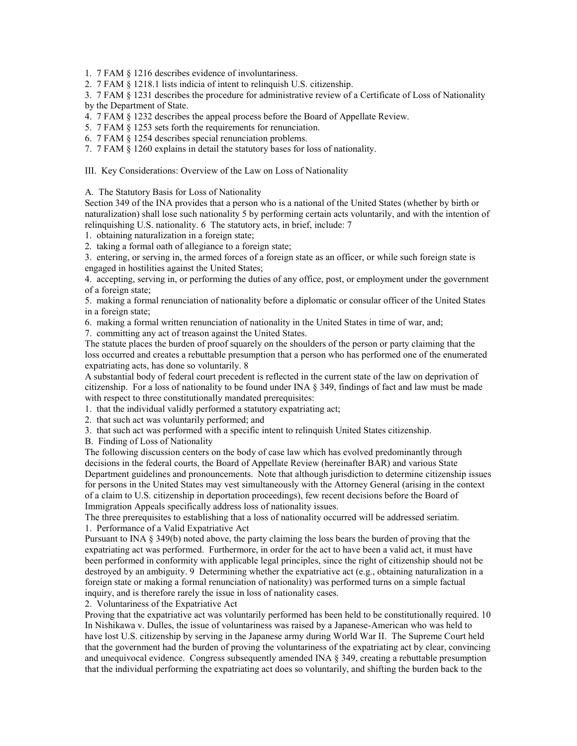1. 7 FAM § 1216 describes evidence of involuntariness.

2. 7 FAM § 1218.1 lists indicia of intent to relinquish U.S. citizenship.

3. 7 FAM § 1231 describes the procedure for administrative review of a Certificate of Loss of Nationality by the Department of State.

4. 7 FAM § 1232 describes the appeal process before the Board of Appellate Review.

5. 7 FAM § 1253 sets forth the requirements for renunciation.

6. 7 FAM § 1254 describes special renunciation problems.

7. 7 FAM § 1260 explains in detail the statutory bases for loss of nationality.

III. Key Considerations: Overview of the Law on Loss of Nationality

A. The Statutory Basis for Loss of Nationality

Section 349 of the INA provides that a person who is a national of the United States (whether by birth or naturalization) shall lose such nationality 5 by performing certain acts voluntarily, and with the intention of relinquishing U.S. nationality. 6 The statutory acts, in brief, include: 7

1. obtaining naturalization in a foreign state;

2. taking a formal oath of allegiance to a foreign state;

3. entering, or serving in, the armed forces of a foreign state as an officer, or while such foreign state is engaged in hostilities against the United States;

4. accepting, serving in, or performing the duties of any office, post, or employment under the government of a foreign state;

5. making a formal renunciation of nationality before a diplomatic or consular officer of the United States in a foreign state;

6. making a formal written renunciation of nationality in the United States in time of war, and;

7. committing any act of treason against the United States.

The statute places the burden of proof squarely on the shoulders of the person or party claiming that the loss occurred and creates a rebuttable presumption that a person who has performed one of the enumerated expatriating acts, has done so voluntarily. 8

A substantial body of federal court precedent is reflected in the current state of the law on deprivation of citizenship. For a loss of nationality to be found under INA § 349, findings of fact and law must be made with respect to three constitutionally mandated prerequisites:

1. that the individual validly performed a statutory expatriating act;

2. that such act was voluntarily performed; and

3. that such act was performed with a specific intent to relinquish United States citizenship.

B. Finding of Loss of Nationality

The following discussion centers on the body of case law which has evolved predominantly through decisions in the federal courts, the Board of Appellate Review (hereinafter BAR) and various State Department guidelines and pronouncements. Note that although jurisdiction to determine citizenship issues for persons in the United States may vest simultaneously with the Attorney General (arising in the context of a claim to U.S. citizenship in deportation proceedings), few recent decisions before the Board of Immigration Appeals specifically address loss of nationality issues.

The three prerequisites to establishing that a loss of nationality occurred will be addressed seriatim. 1. Performance of a Valid Expatriative Act

Pursuant to INA § 349(b) noted above, the party claiming the loss bears the burden of proving that the expatriating act was performed. Furthermore, in order for the act to have been a valid act, it must have been performed in conformity with applicable legal principles, since the right of citizenship should not be destroyed by an ambiguity. 9 Determining whether the expatriative act (e.g., obtaining naturalization in a foreign state or making a formal renunciation of nationality) was performed turns on a simple factual inquiry, and is therefore rarely the issue in loss of nationality cases.

2. Voluntariness of the Expatriative Act

Proving that the expatriative act was voluntarily performed has been held to be constitutionally required. 10 In Nishikawa v. Dulles, the issue of voluntariness was raised by a Japanese-American who was held to have lost U.S. citizenship by serving in the Japanese army during World War II. The Supreme Court held that the government had the burden of proving the voluntariness of the expatriating act by clear, convincing and unequivocal evidence. Congress subsequently amended INA § 349, creating a rebuttable presumption that the individual performing the expatriating act does so voluntarily, and shifting the burden back to the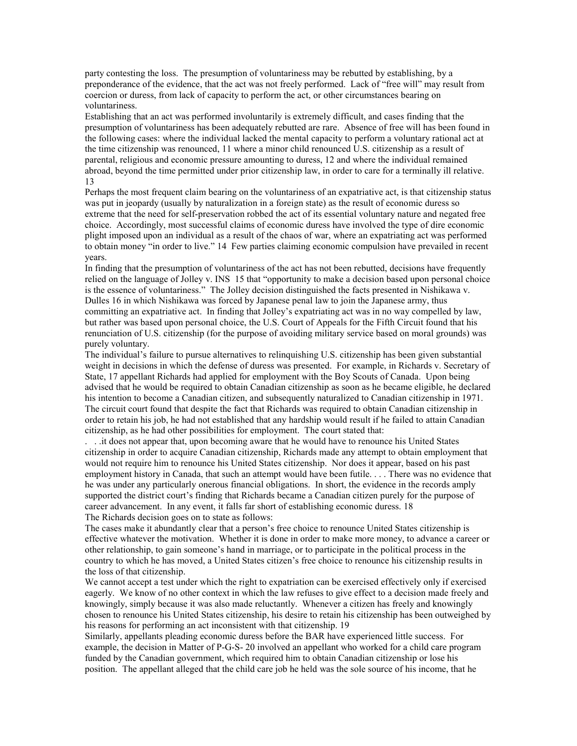party contesting the loss. The presumption of voluntariness may be rebutted by establishing, by a preponderance of the evidence, that the act was not freely performed. Lack of "free will" may result from coercion or duress, from lack of capacity to perform the act, or other circumstances bearing on voluntariness.

Establishing that an act was performed involuntarily is extremely difficult, and cases finding that the presumption of voluntariness has been adequately rebutted are rare. Absence of free will has been found in the following cases: where the individual lacked the mental capacity to perform a voluntary rational act at the time citizenship was renounced, 11 where a minor child renounced U.S. citizenship as a result of parental, religious and economic pressure amounting to duress, 12 and where the individual remained abroad, beyond the time permitted under prior citizenship law, in order to care for a terminally ill relative. 13

Perhaps the most frequent claim bearing on the voluntariness of an expatriative act, is that citizenship status was put in jeopardy (usually by naturalization in a foreign state) as the result of economic duress so extreme that the need for self-preservation robbed the act of its essential voluntary nature and negated free choice. Accordingly, most successful claims of economic duress have involved the type of dire economic plight imposed upon an individual as a result of the chaos of war, where an expatriating act was performed to obtain money "in order to live." 14 Few parties claiming economic compulsion have prevailed in recent years.

In finding that the presumption of voluntariness of the act has not been rebutted, decisions have frequently relied on the language of Jolley v. INS 15 that "opportunity to make a decision based upon personal choice is the essence of voluntariness." The Jolley decision distinguished the facts presented in Nishikawa v. Dulles 16 in which Nishikawa was forced by Japanese penal law to join the Japanese army, thus committing an expatriative act. In finding that Jolley's expatriating act was in no way compelled by law, but rather was based upon personal choice, the U.S. Court of Appeals for the Fifth Circuit found that his renunciation of U.S. citizenship (for the purpose of avoiding military service based on moral grounds) was purely voluntary.

The individual's failure to pursue alternatives to relinquishing U.S. citizenship has been given substantial weight in decisions in which the defense of duress was presented. For example, in Richards v. Secretary of State, 17 appellant Richards had applied for employment with the Boy Scouts of Canada. Upon being advised that he would be required to obtain Canadian citizenship as soon as he became eligible, he declared his intention to become a Canadian citizen, and subsequently naturalized to Canadian citizenship in 1971. The circuit court found that despite the fact that Richards was required to obtain Canadian citizenship in order to retain his job, he had not established that any hardship would result if he failed to attain Canadian citizenship, as he had other possibilities for employment. The court stated that:

. . .it does not appear that, upon becoming aware that he would have to renounce his United States citizenship in order to acquire Canadian citizenship, Richards made any attempt to obtain employment that would not require him to renounce his United States citizenship. Nor does it appear, based on his past employment history in Canada, that such an attempt would have been futile. . . . There was no evidence that he was under any particularly onerous financial obligations. In short, the evidence in the records amply supported the district court's finding that Richards became a Canadian citizen purely for the purpose of career advancement. In any event, it falls far short of establishing economic duress. 18 The Richards decision goes on to state as follows:

The cases make it abundantly clear that a person's free choice to renounce United States citizenship is effective whatever the motivation. Whether it is done in order to make more money, to advance a career or other relationship, to gain someone's hand in marriage, or to participate in the political process in the country to which he has moved, a United States citizen's free choice to renounce his citizenship results in the loss of that citizenship.

We cannot accept a test under which the right to expatriation can be exercised effectively only if exercised eagerly. We know of no other context in which the law refuses to give effect to a decision made freely and knowingly, simply because it was also made reluctantly. Whenever a citizen has freely and knowingly chosen to renounce his United States citizenship, his desire to retain his citizenship has been outweighed by his reasons for performing an act inconsistent with that citizenship. 19

Similarly, appellants pleading economic duress before the BAR have experienced little success. For example, the decision in Matter of P-G-S- 20 involved an appellant who worked for a child care program funded by the Canadian government, which required him to obtain Canadian citizenship or lose his position. The appellant alleged that the child care job he held was the sole source of his income, that he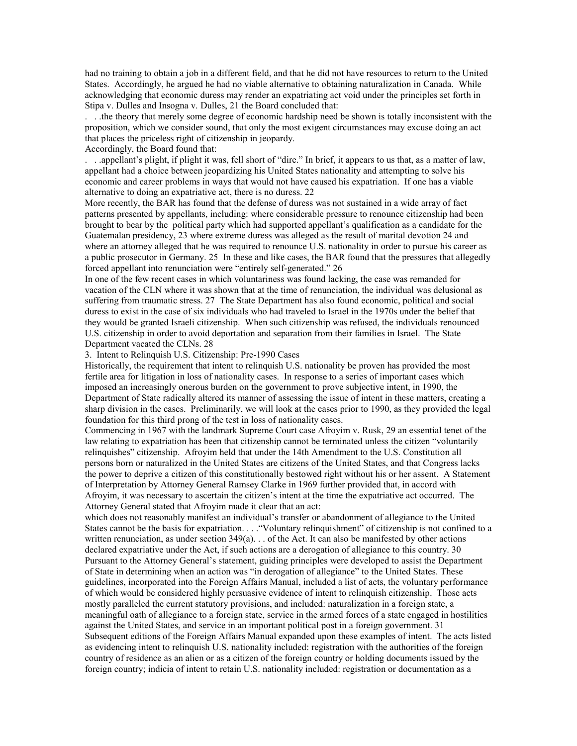had no training to obtain a job in a different field, and that he did not have resources to return to the United States. Accordingly, he argued he had no viable alternative to obtaining naturalization in Canada. While acknowledging that economic duress may render an expatriating act void under the principles set forth in Stipa v. Dulles and Insogna v. Dulles, 21 the Board concluded that:

. . .the theory that merely some degree of economic hardship need be shown is totally inconsistent with the proposition, which we consider sound, that only the most exigent circumstances may excuse doing an act that places the priceless right of citizenship in jeopardy.

Accordingly, the Board found that:

. . .appellant's plight, if plight it was, fell short of "dire." In brief, it appears to us that, as a matter of law, appellant had a choice between jeopardizing his United States nationality and attempting to solve his economic and career problems in ways that would not have caused his expatriation. If one has a viable alternative to doing an expatriative act, there is no duress. 22

More recently, the BAR has found that the defense of duress was not sustained in a wide array of fact patterns presented by appellants, including: where considerable pressure to renounce citizenship had been brought to bear by the political party which had supported appellant's qualification as a candidate for the Guatemalan presidency, 23 where extreme duress was alleged as the result of marital devotion 24 and where an attorney alleged that he was required to renounce U.S. nationality in order to pursue his career as a public prosecutor in Germany. 25 In these and like cases, the BAR found that the pressures that allegedly forced appellant into renunciation were "entirely self-generated." 26

In one of the few recent cases in which voluntariness was found lacking, the case was remanded for vacation of the CLN where it was shown that at the time of renunciation, the individual was delusional as suffering from traumatic stress. 27 The State Department has also found economic, political and social duress to exist in the case of six individuals who had traveled to Israel in the 1970s under the belief that they would be granted Israeli citizenship. When such citizenship was refused, the individuals renounced U.S. citizenship in order to avoid deportation and separation from their families in Israel. The State Department vacated the CLNs. 28

3. Intent to Relinquish U.S. Citizenship: Pre-1990 Cases

Historically, the requirement that intent to relinquish U.S. nationality be proven has provided the most fertile area for litigation in loss of nationality cases. In response to a series of important cases which imposed an increasingly onerous burden on the government to prove subjective intent, in 1990, the Department of State radically altered its manner of assessing the issue of intent in these matters, creating a sharp division in the cases. Preliminarily, we will look at the cases prior to 1990, as they provided the legal foundation for this third prong of the test in loss of nationality cases.

Commencing in 1967 with the landmark Supreme Court case Afroyim v. Rusk, 29 an essential tenet of the law relating to expatriation has been that citizenship cannot be terminated unless the citizen "voluntarily relinquishes" citizenship. Afroyim held that under the 14th Amendment to the U.S. Constitution all persons born or naturalized in the United States are citizens of the United States, and that Congress lacks the power to deprive a citizen of this constitutionally bestowed right without his or her assent. A Statement of Interpretation by Attorney General Ramsey Clarke in 1969 further provided that, in accord with Afroyim, it was necessary to ascertain the citizen's intent at the time the expatriative act occurred. The Attorney General stated that Afroyim made it clear that an act:

which does not reasonably manifest an individual's transfer or abandonment of allegiance to the United States cannot be the basis for expatriation. . . ."Voluntary relinquishment" of citizenship is not confined to a written renunciation, as under section  $349(a)$ ... of the Act. It can also be manifested by other actions declared expatriative under the Act, if such actions are a derogation of allegiance to this country. 30 Pursuant to the Attorney General's statement, guiding principles were developed to assist the Department of State in determining when an action was "in derogation of allegiance" to the United States. These guidelines, incorporated into the Foreign Affairs Manual, included a list of acts, the voluntary performance of which would be considered highly persuasive evidence of intent to relinquish citizenship. Those acts mostly paralleled the current statutory provisions, and included: naturalization in a foreign state, a meaningful oath of allegiance to a foreign state, service in the armed forces of a state engaged in hostilities against the United States, and service in an important political post in a foreign government. 31 Subsequent editions of the Foreign Affairs Manual expanded upon these examples of intent. The acts listed as evidencing intent to relinquish U.S. nationality included: registration with the authorities of the foreign country of residence as an alien or as a citizen of the foreign country or holding documents issued by the foreign country; indicia of intent to retain U.S. nationality included: registration or documentation as a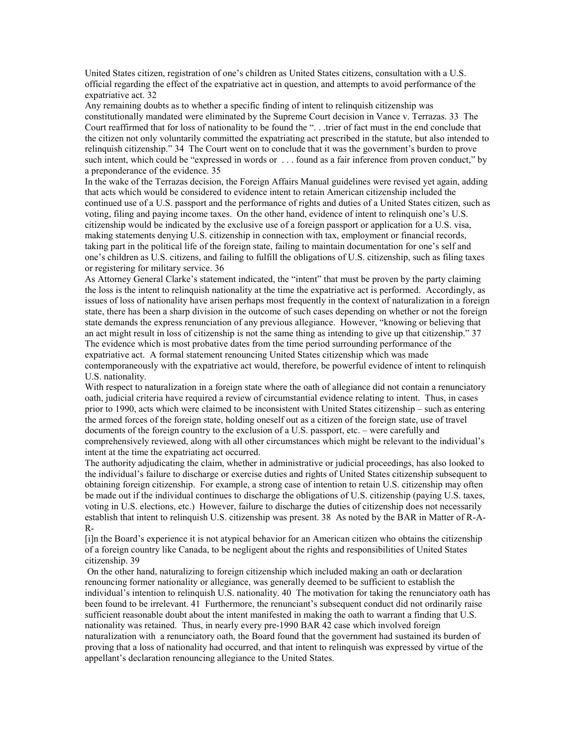United States citizen, registration of one's children as United States citizens, consultation with a U.S. official regarding the effect of the expatriative act in question, and attempts to avoid performance of the expatriative act. 32

Any remaining doubts as to whether a specific finding of intent to relinquish citizenship was constitutionally mandated were eliminated by the Supreme Court decision in Vance v. Terrazas. 33 The Court reaffirmed that for loss of nationality to be found the ". . .trier of fact must in the end conclude that the citizen not only voluntarily committed the expatriating act prescribed in the statute, but also intended to relinquish citizenship." 34 The Court went on to conclude that it was the government's burden to prove such intent, which could be "expressed in words or . . . found as a fair inference from proven conduct," by a preponderance of the evidence. 35

In the wake of the Terrazas decision, the Foreign Affairs Manual guidelines were revised yet again, adding that acts which would be considered to evidence intent to retain American citizenship included the continued use of a U.S. passport and the performance of rights and duties of a United States citizen, such as voting, filing and paying income taxes. On the other hand, evidence of intent to relinquish one's U.S. citizenship would be indicated by the exclusive use of a foreign passport or application for a U.S. visa, making statements denying U.S. citizenship in connection with tax, employment or financial records, taking part in the political life of the foreign state, failing to maintain documentation for one's self and one's children as U.S. citizens, and failing to fulfill the obligations of U.S. citizenship, such as filing taxes or registering for military service. 36

As Attorney General Clarke's statement indicated, the "intent" that must be proven by the party claiming the loss is the intent to relinquish nationality at the time the expatriative act is performed. Accordingly, as issues of loss of nationality have arisen perhaps most frequently in the context of naturalization in a foreign state, there has been a sharp division in the outcome of such cases depending on whether or not the foreign state demands the express renunciation of any previous allegiance. However, "knowing or believing that an act might result in loss of citizenship is not the same thing as intending to give up that citizenship." 37 The evidence which is most probative dates from the time period surrounding performance of the expatriative act. A formal statement renouncing United States citizenship which was made contemporaneously with the expatriative act would, therefore, be powerful evidence of intent to relinquish U.S. nationality.

With respect to naturalization in a foreign state where the oath of allegiance did not contain a renunciatory oath, judicial criteria have required a review of circumstantial evidence relating to intent. Thus, in cases prior to 1990, acts which were claimed to be inconsistent with United States citizenship – such as entering the armed forces of the foreign state, holding oneself out as a citizen of the foreign state, use of travel documents of the foreign country to the exclusion of a U.S. passport, etc. – were carefully and comprehensively reviewed, along with all other circumstances which might be relevant to the individual's intent at the time the expatriating act occurred.

The authority adjudicating the claim, whether in administrative or judicial proceedings, has also looked to the individual's failure to discharge or exercise duties and rights of United States citizenship subsequent to obtaining foreign citizenship. For example, a strong case of intention to retain U.S. citizenship may often be made out if the individual continues to discharge the obligations of U.S. citizenship (paying U.S. taxes, voting in U.S. elections, etc.) However, failure to discharge the duties of citizenship does not necessarily establish that intent to relinquish U.S. citizenship was present. 38 As noted by the BAR in Matter of R-A-R-

[i]n the Board's experience it is not atypical behavior for an American citizen who obtains the citizenship of a foreign country like Canada, to be negligent about the rights and responsibilities of United States citizenship. 39

 On the other hand, naturalizing to foreign citizenship which included making an oath or declaration renouncing former nationality or allegiance, was generally deemed to be sufficient to establish the individual's intention to relinquish U.S. nationality. 40 The motivation for taking the renunciatory oath has been found to be irrelevant. 41 Furthermore, the renunciant's subsequent conduct did not ordinarily raise sufficient reasonable doubt about the intent manifested in making the oath to warrant a finding that U.S. nationality was retained. Thus, in nearly every pre-1990 BAR 42 case which involved foreign naturalization with a renunciatory oath, the Board found that the government had sustained its burden of proving that a loss of nationality had occurred, and that intent to relinquish was expressed by virtue of the appellant's declaration renouncing allegiance to the United States.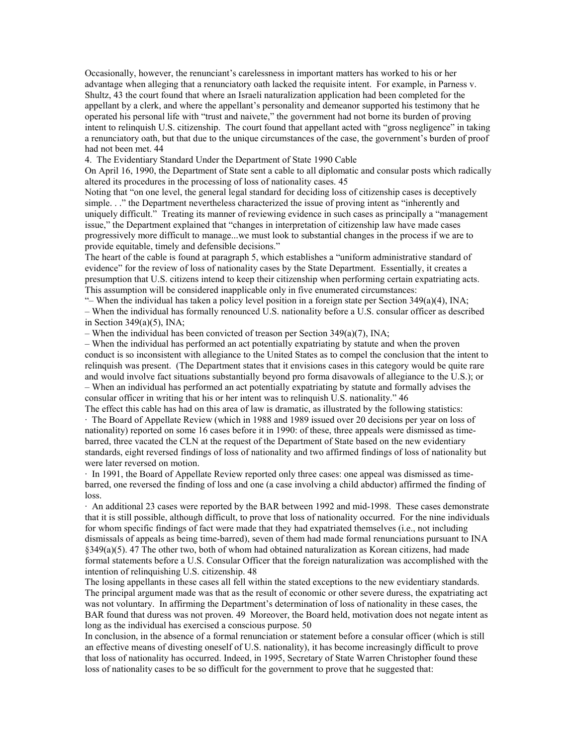Occasionally, however, the renunciant's carelessness in important matters has worked to his or her advantage when alleging that a renunciatory oath lacked the requisite intent. For example, in Parness v. Shultz, 43 the court found that where an Israeli naturalization application had been completed for the appellant by a clerk, and where the appellant's personality and demeanor supported his testimony that he operated his personal life with "trust and naivete," the government had not borne its burden of proving intent to relinquish U.S. citizenship. The court found that appellant acted with "gross negligence" in taking a renunciatory oath, but that due to the unique circumstances of the case, the government's burden of proof had not been met. 44

4. The Evidentiary Standard Under the Department of State 1990 Cable

On April 16, 1990, the Department of State sent a cable to all diplomatic and consular posts which radically altered its procedures in the processing of loss of nationality cases. 45

Noting that "on one level, the general legal standard for deciding loss of citizenship cases is deceptively simple. . ." the Department nevertheless characterized the issue of proving intent as "inherently and uniquely difficult." Treating its manner of reviewing evidence in such cases as principally a "management issue," the Department explained that "changes in interpretation of citizenship law have made cases progressively more difficult to manage...we must look to substantial changes in the process if we are to provide equitable, timely and defensible decisions."

The heart of the cable is found at paragraph 5, which establishes a "uniform administrative standard of evidence" for the review of loss of nationality cases by the State Department. Essentially, it creates a presumption that U.S. citizens intend to keep their citizenship when performing certain expatriating acts. This assumption will be considered inapplicable only in five enumerated circumstances:

"– When the individual has taken a policy level position in a foreign state per Section 349(a)(4), INA; – When the individual has formally renounced U.S. nationality before a U.S. consular officer as described in Section  $349(a)(5)$ , INA;

– When the individual has been convicted of treason per Section 349(a)(7), INA;

– When the individual has performed an act potentially expatriating by statute and when the proven conduct is so inconsistent with allegiance to the United States as to compel the conclusion that the intent to relinquish was present. (The Department states that it envisions cases in this category would be quite rare and would involve fact situations substantially beyond pro forma disavowals of allegiance to the U.S.); or – When an individual has performed an act potentially expatriating by statute and formally advises the consular officer in writing that his or her intent was to relinquish U.S. nationality." 46

The effect this cable has had on this area of law is dramatic, as illustrated by the following statistics: · The Board of Appellate Review (which in 1988 and 1989 issued over 20 decisions per year on loss of nationality) reported on some 16 cases before it in 1990: of these, three appeals were dismissed as timebarred, three vacated the CLN at the request of the Department of State based on the new evidentiary standards, eight reversed findings of loss of nationality and two affirmed findings of loss of nationality but were later reversed on motion.

· In 1991, the Board of Appellate Review reported only three cases: one appeal was dismissed as timebarred, one reversed the finding of loss and one (a case involving a child abductor) affirmed the finding of loss.

· An additional 23 cases were reported by the BAR between 1992 and mid-1998. These cases demonstrate that it is still possible, although difficult, to prove that loss of nationality occurred. For the nine individuals for whom specific findings of fact were made that they had expatriated themselves (i.e., not including dismissals of appeals as being time-barred), seven of them had made formal renunciations pursuant to INA  $§349(a)(5)$ . 47 The other two, both of whom had obtained naturalization as Korean citizens, had made formal statements before a U.S. Consular Officer that the foreign naturalization was accomplished with the intention of relinquishing U.S. citizenship. 48

The losing appellants in these cases all fell within the stated exceptions to the new evidentiary standards. The principal argument made was that as the result of economic or other severe duress, the expatriating act was not voluntary. In affirming the Department's determination of loss of nationality in these cases, the BAR found that duress was not proven. 49 Moreover, the Board held, motivation does not negate intent as long as the individual has exercised a conscious purpose. 50

In conclusion, in the absence of a formal renunciation or statement before a consular officer (which is still an effective means of divesting oneself of U.S. nationality), it has become increasingly difficult to prove that loss of nationality has occurred. Indeed, in 1995, Secretary of State Warren Christopher found these loss of nationality cases to be so difficult for the government to prove that he suggested that: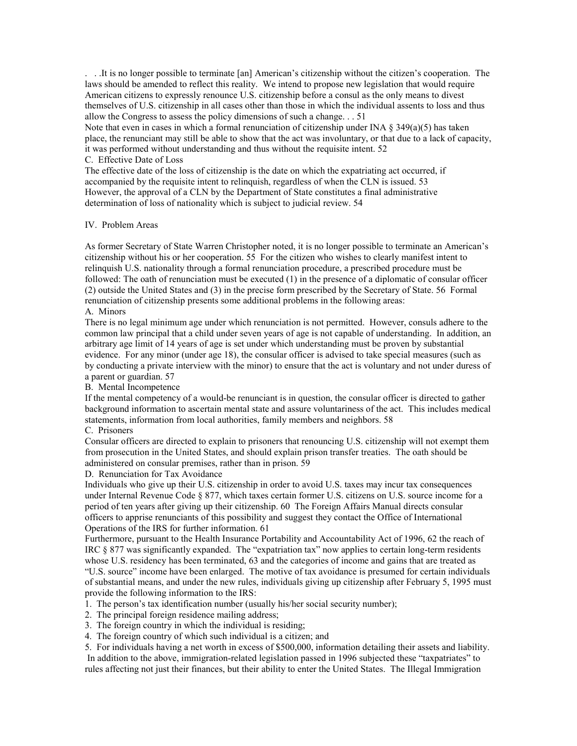. . .It is no longer possible to terminate [an] American's citizenship without the citizen's cooperation. The laws should be amended to reflect this reality. We intend to propose new legislation that would require American citizens to expressly renounce U.S. citizenship before a consul as the only means to divest themselves of U.S. citizenship in all cases other than those in which the individual assents to loss and thus allow the Congress to assess the policy dimensions of such a change. . . 51

Note that even in cases in which a formal renunciation of citizenship under INA  $\S$  349(a)(5) has taken place, the renunciant may still be able to show that the act was involuntary, or that due to a lack of capacity, it was performed without understanding and thus without the requisite intent. 52

#### C. Effective Date of Loss

The effective date of the loss of citizenship is the date on which the expatriating act occurred, if accompanied by the requisite intent to relinquish, regardless of when the CLN is issued. 53 However, the approval of a CLN by the Department of State constitutes a final administrative determination of loss of nationality which is subject to judicial review. 54

#### IV. Problem Areas

As former Secretary of State Warren Christopher noted, it is no longer possible to terminate an American's citizenship without his or her cooperation. 55 For the citizen who wishes to clearly manifest intent to relinquish U.S. nationality through a formal renunciation procedure, a prescribed procedure must be followed: The oath of renunciation must be executed (1) in the presence of a diplomatic of consular officer (2) outside the United States and (3) in the precise form prescribed by the Secretary of State. 56 Formal renunciation of citizenship presents some additional problems in the following areas: A. Minors

There is no legal minimum age under which renunciation is not permitted. However, consuls adhere to the common law principal that a child under seven years of age is not capable of understanding. In addition, an arbitrary age limit of 14 years of age is set under which understanding must be proven by substantial evidence. For any minor (under age 18), the consular officer is advised to take special measures (such as by conducting a private interview with the minor) to ensure that the act is voluntary and not under duress of a parent or guardian. 57

B. Mental Incompetence

If the mental competency of a would-be renunciant is in question, the consular officer is directed to gather background information to ascertain mental state and assure voluntariness of the act. This includes medical statements, information from local authorities, family members and neighbors. 58

### C. Prisoners

Consular officers are directed to explain to prisoners that renouncing U.S. citizenship will not exempt them from prosecution in the United States, and should explain prison transfer treaties. The oath should be administered on consular premises, rather than in prison. 59

D. Renunciation for Tax Avoidance

Individuals who give up their U.S. citizenship in order to avoid U.S. taxes may incur tax consequences under Internal Revenue Code § 877, which taxes certain former U.S. citizens on U.S. source income for a period of ten years after giving up their citizenship. 60 The Foreign Affairs Manual directs consular officers to apprise renunciants of this possibility and suggest they contact the Office of International Operations of the IRS for further information. 61

Furthermore, pursuant to the Health Insurance Portability and Accountability Act of 1996, 62 the reach of IRC § 877 was significantly expanded. The "expatriation tax" now applies to certain long-term residents whose U.S. residency has been terminated, 63 and the categories of income and gains that are treated as "U.S. source" income have been enlarged. The motive of tax avoidance is presumed for certain individuals of substantial means, and under the new rules, individuals giving up citizenship after February 5, 1995 must provide the following information to the IRS:

- 1. The person's tax identification number (usually his/her social security number);
- 2. The principal foreign residence mailing address;
- 3. The foreign country in which the individual is residing;
- 4. The foreign country of which such individual is a citizen; and

5. For individuals having a net worth in excess of \$500,000, information detailing their assets and liability. In addition to the above, immigration-related legislation passed in 1996 subjected these "taxpatriates" to rules affecting not just their finances, but their ability to enter the United States. The Illegal Immigration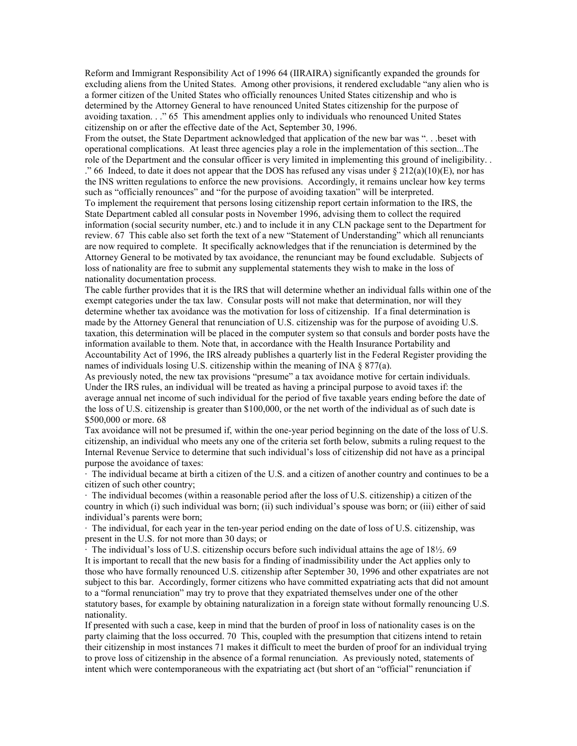Reform and Immigrant Responsibility Act of 1996 64 (IIRAIRA) significantly expanded the grounds for excluding aliens from the United States. Among other provisions, it rendered excludable "any alien who is a former citizen of the United States who officially renounces United States citizenship and who is determined by the Attorney General to have renounced United States citizenship for the purpose of avoiding taxation. . ." 65 This amendment applies only to individuals who renounced United States citizenship on or after the effective date of the Act, September 30, 1996.

From the outset, the State Department acknowledged that application of the new bar was ". . .beset with operational complications. At least three agencies play a role in the implementation of this section...The role of the Department and the consular officer is very limited in implementing this ground of ineligibility. . ." 66 Indeed, to date it does not appear that the DOS has refused any visas under  $\S 212(a)(10)(E)$ , nor has the INS written regulations to enforce the new provisions. Accordingly, it remains unclear how key terms such as "officially renounces" and "for the purpose of avoiding taxation" will be interpreted. To implement the requirement that persons losing citizenship report certain information to the IRS, the State Department cabled all consular posts in November 1996, advising them to collect the required information (social security number, etc.) and to include it in any CLN package sent to the Department for review. 67 This cable also set forth the text of a new "Statement of Understanding" which all renunciants are now required to complete. It specifically acknowledges that if the renunciation is determined by the Attorney General to be motivated by tax avoidance, the renunciant may be found excludable. Subjects of loss of nationality are free to submit any supplemental statements they wish to make in the loss of nationality documentation process.

The cable further provides that it is the IRS that will determine whether an individual falls within one of the exempt categories under the tax law. Consular posts will not make that determination, nor will they determine whether tax avoidance was the motivation for loss of citizenship. If a final determination is made by the Attorney General that renunciation of U.S. citizenship was for the purpose of avoiding U.S. taxation, this determination will be placed in the computer system so that consuls and border posts have the information available to them. Note that, in accordance with the Health Insurance Portability and Accountability Act of 1996, the IRS already publishes a quarterly list in the Federal Register providing the names of individuals losing U.S. citizenship within the meaning of INA § 877(a).

As previously noted, the new tax provisions "presume" a tax avoidance motive for certain individuals. Under the IRS rules, an individual will be treated as having a principal purpose to avoid taxes if: the average annual net income of such individual for the period of five taxable years ending before the date of the loss of U.S. citizenship is greater than \$100,000, or the net worth of the individual as of such date is \$500,000 or more. 68

Tax avoidance will not be presumed if, within the one-year period beginning on the date of the loss of U.S. citizenship, an individual who meets any one of the criteria set forth below, submits a ruling request to the Internal Revenue Service to determine that such individual's loss of citizenship did not have as a principal purpose the avoidance of taxes:

· The individual became at birth a citizen of the U.S. and a citizen of another country and continues to be a citizen of such other country;

· The individual becomes (within a reasonable period after the loss of U.S. citizenship) a citizen of the country in which (i) such individual was born; (ii) such individual's spouse was born; or (iii) either of said individual's parents were born;

· The individual, for each year in the ten-year period ending on the date of loss of U.S. citizenship, was present in the U.S. for not more than 30 days; or

· The individual's loss of U.S. citizenship occurs before such individual attains the age of 18½. 69 It is important to recall that the new basis for a finding of inadmissibility under the Act applies only to those who have formally renounced U.S. citizenship after September 30, 1996 and other expatriates are not subject to this bar. Accordingly, former citizens who have committed expatriating acts that did not amount to a "formal renunciation" may try to prove that they expatriated themselves under one of the other statutory bases, for example by obtaining naturalization in a foreign state without formally renouncing U.S. nationality.

If presented with such a case, keep in mind that the burden of proof in loss of nationality cases is on the party claiming that the loss occurred. 70 This, coupled with the presumption that citizens intend to retain their citizenship in most instances 71 makes it difficult to meet the burden of proof for an individual trying to prove loss of citizenship in the absence of a formal renunciation. As previously noted, statements of intent which were contemporaneous with the expatriating act (but short of an "official" renunciation if